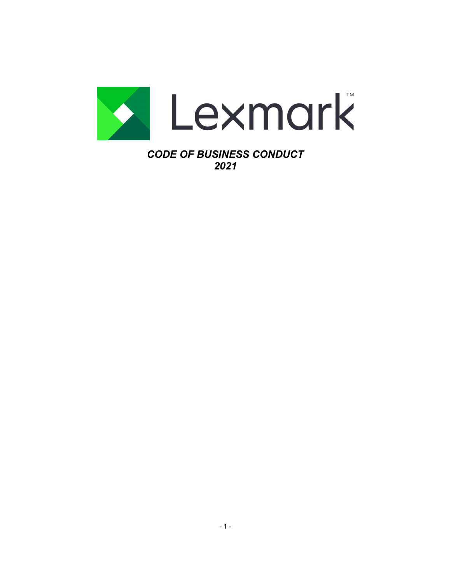

CODE OF BUSINESS CONDUCT 2021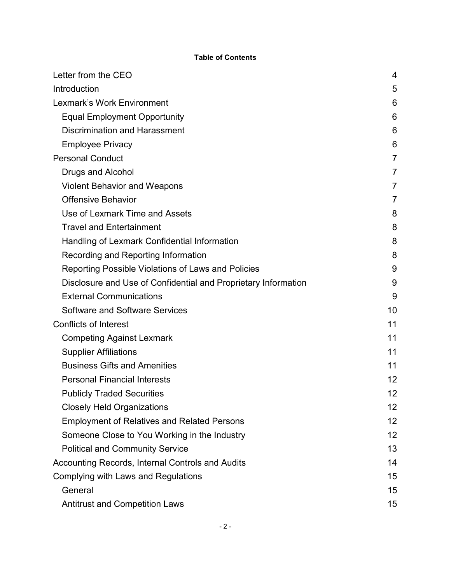## Table of Contents

| Letter from the CEO                                            | 4              |
|----------------------------------------------------------------|----------------|
| Introduction                                                   | 5              |
| <b>Lexmark's Work Environment</b>                              | 6              |
| <b>Equal Employment Opportunity</b>                            | 6              |
| <b>Discrimination and Harassment</b>                           | 6              |
| <b>Employee Privacy</b>                                        | 6              |
| <b>Personal Conduct</b>                                        | 7              |
| <b>Drugs and Alcohol</b>                                       | $\overline{7}$ |
| <b>Violent Behavior and Weapons</b>                            | 7              |
| <b>Offensive Behavior</b>                                      | $\overline{7}$ |
| Use of Lexmark Time and Assets                                 | 8              |
| <b>Travel and Entertainment</b>                                | 8              |
| Handling of Lexmark Confidential Information                   | 8              |
| Recording and Reporting Information                            | 8              |
| Reporting Possible Violations of Laws and Policies             | 9              |
| Disclosure and Use of Confidential and Proprietary Information | 9              |
| <b>External Communications</b>                                 | 9              |
| <b>Software and Software Services</b>                          | 10             |
| <b>Conflicts of Interest</b>                                   | 11             |
| <b>Competing Against Lexmark</b>                               | 11             |
| <b>Supplier Affiliations</b>                                   | 11             |
| <b>Business Gifts and Amenities</b>                            | 11             |
| <b>Personal Financial Interests</b>                            | 12             |
| <b>Publicly Traded Securities</b>                              | 12             |
| <b>Closely Held Organizations</b>                              | 12             |
| <b>Employment of Relatives and Related Persons</b>             | 12             |
| Someone Close to You Working in the Industry                   | 12             |
| <b>Political and Community Service</b>                         | 13             |
| Accounting Records, Internal Controls and Audits               | 14             |
| Complying with Laws and Regulations                            | 15             |
| General                                                        | 15             |
| <b>Antitrust and Competition Laws</b>                          | 15             |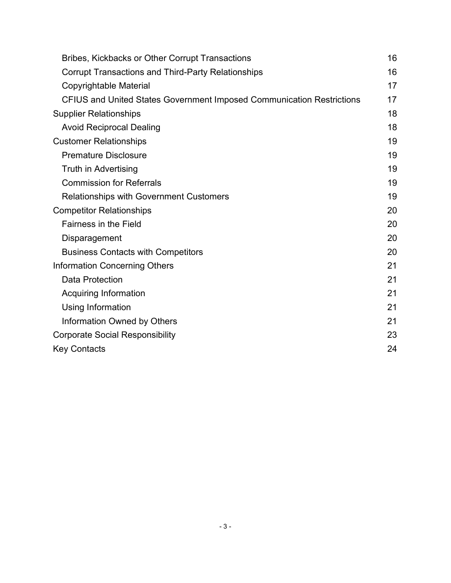| Bribes, Kickbacks or Other Corrupt Transactions                              | 16 |
|------------------------------------------------------------------------------|----|
| <b>Corrupt Transactions and Third-Party Relationships</b>                    | 16 |
| Copyrightable Material                                                       | 17 |
| <b>CFIUS and United States Government Imposed Communication Restrictions</b> | 17 |
| <b>Supplier Relationships</b>                                                | 18 |
| <b>Avoid Reciprocal Dealing</b>                                              | 18 |
| <b>Customer Relationships</b>                                                | 19 |
| <b>Premature Disclosure</b>                                                  | 19 |
| <b>Truth in Advertising</b>                                                  | 19 |
| <b>Commission for Referrals</b>                                              | 19 |
| <b>Relationships with Government Customers</b>                               | 19 |
| <b>Competitor Relationships</b>                                              | 20 |
| <b>Fairness in the Field</b>                                                 | 20 |
| Disparagement                                                                | 20 |
| <b>Business Contacts with Competitors</b>                                    | 20 |
| <b>Information Concerning Others</b>                                         | 21 |
| <b>Data Protection</b>                                                       | 21 |
| <b>Acquiring Information</b>                                                 | 21 |
| Using Information                                                            | 21 |
| Information Owned by Others                                                  | 21 |
| <b>Corporate Social Responsibility</b>                                       | 23 |
| <b>Key Contacts</b>                                                          | 24 |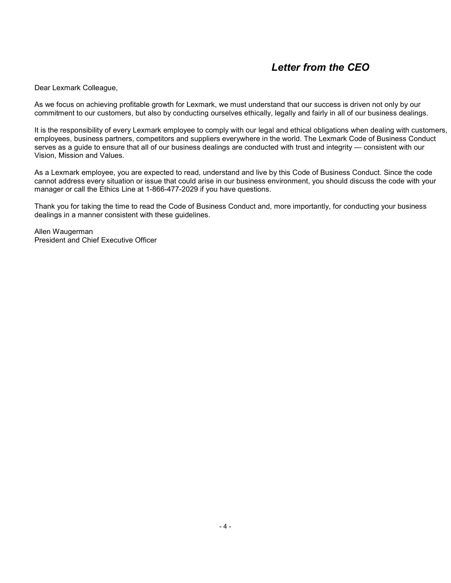# Letter from the CEO

Dear Lexmark Colleague,

As we focus on achieving profitable growth for Lexmark, we must understand that our success is driven not only by our commitment to our customers, but also by conducting ourselves ethically, legally and fairly in all of our business dealings.

It is the responsibility of every Lexmark employee to comply with our legal and ethical obligations when dealing with customers, employees, business partners, competitors and suppliers everywhere in the world. The Lexmark Code of Business Conduct serves as a guide to ensure that all of our business dealings are conducted with trust and integrity — consistent with our Vision, Mission and Values.

As a Lexmark employee, you are expected to read, understand and live by this Code of Business Conduct. Since the code cannot address every situation or issue that could arise in our business environment, you should discuss the code with your manager or call the Ethics Line at 1-866-477-2029 if you have questions.

Thank you for taking the time to read the Code of Business Conduct and, more importantly, for conducting your business dealings in a manner consistent with these guidelines.

Allen Waugerman President and Chief Executive Officer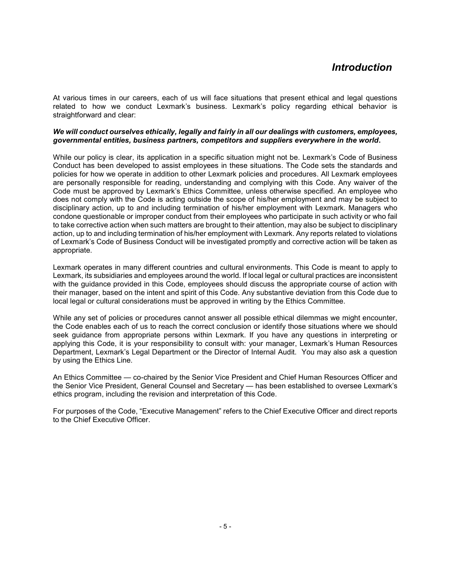## Introduction

 At various times in our careers, each of us will face situations that present ethical and legal questions related to how we conduct Lexmark's business. Lexmark's policy regarding ethical behavior is straightforward and clear:

## We will conduct ourselves ethically, legally and fairly in all our dealings with customers, employees, governmental entities, business partners, competitors and suppliers everywhere in the world.

 While our policy is clear, its application in a specific situation might not be. Lexmark's Code of Business Conduct has been developed to assist employees in these situations. The Code sets the standards and policies for how we operate in addition to other Lexmark policies and procedures. All Lexmark employees are personally responsible for reading, understanding and complying with this Code. Any waiver of the Code must be approved by Lexmark's Ethics Committee, unless otherwise specified. An employee who does not comply with the Code is acting outside the scope of his/her employment and may be subject to disciplinary action, up to and including termination of his/her employment with Lexmark. Managers who condone questionable or improper conduct from their employees who participate in such activity or who fail to take corrective action when such matters are brought to their attention, may also be subject to disciplinary action, up to and including termination of his/her employment with Lexmark. Any reports related to violations of Lexmark's Code of Business Conduct will be investigated promptly and corrective action will be taken as appropriate.

 Lexmark operates in many different countries and cultural environments. This Code is meant to apply to Lexmark, its subsidiaries and employees around the world. If local legal or cultural practices are inconsistent with the guidance provided in this Code, employees should discuss the appropriate course of action with their manager, based on the intent and spirit of this Code. Any substantive deviation from this Code due to local legal or cultural considerations must be approved in writing by the Ethics Committee.

While any set of policies or procedures cannot answer all possible ethical dilemmas we might encounter, the Code enables each of us to reach the correct conclusion or identify those situations where we should seek guidance from appropriate persons within Lexmark. If you have any questions in interpreting or applying this Code, it is your responsibility to consult with: your manager, Lexmark's Human Resources Department, Lexmark's Legal Department or the Director of Internal Audit. You may also ask a question by using the Ethics Line.

 An Ethics Committee — co-chaired by the Senior Vice President and Chief Human Resources Officer and the Senior Vice President, General Counsel and Secretary — has been established to oversee Lexmark's ethics program, including the revision and interpretation of this Code.

 For purposes of the Code, "Executive Management" refers to the Chief Executive Officer and direct reports to the Chief Executive Officer.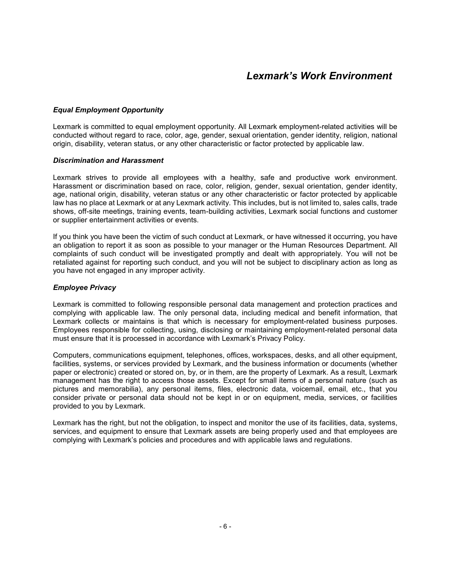## Lexmark's Work Environment

## Equal Employment Opportunity

Lexmark is committed to equal employment opportunity. All Lexmark employment-related activities will be conducted without regard to race, color, age, gender, sexual orientation, gender identity, religion, national origin, disability, veteran status, or any other characteristic or factor protected by applicable law.

#### Discrimination and Harassment

Lexmark strives to provide all employees with a healthy, safe and productive work environment. Harassment or discrimination based on race, color, religion, gender, sexual orientation, gender identity, age, national origin, disability, veteran status or any other characteristic or factor protected by applicable law has no place at Lexmark or at any Lexmark activity. This includes, but is not limited to, sales calls, trade shows, off-site meetings, training events, team-building activities, Lexmark social functions and customer or supplier entertainment activities or events.

If you think you have been the victim of such conduct at Lexmark, or have witnessed it occurring, you have an obligation to report it as soon as possible to your manager or the Human Resources Department. All complaints of such conduct will be investigated promptly and dealt with appropriately. You will not be retaliated against for reporting such conduct, and you will not be subject to disciplinary action as long as you have not engaged in any improper activity.

### Employee Privacy

Lexmark is committed to following responsible personal data management and protection practices and complying with applicable law. The only personal data, including medical and benefit information, that Lexmark collects or maintains is that which is necessary for employment-related business purposes. Employees responsible for collecting, using, disclosing or maintaining employment-related personal data must ensure that it is processed in accordance with Lexmark's Privacy Policy.

Computers, communications equipment, telephones, offices, workspaces, desks, and all other equipment, facilities, systems, or services provided by Lexmark, and the business information or documents (whether paper or electronic) created or stored on, by, or in them, are the property of Lexmark. As a result, Lexmark management has the right to access those assets. Except for small items of a personal nature (such as pictures and memorabilia), any personal items, files, electronic data, voicemail, email, etc., that you consider private or personal data should not be kept in or on equipment, media, services, or facilities provided to you by Lexmark.

Lexmark has the right, but not the obligation, to inspect and monitor the use of its facilities, data, systems, services, and equipment to ensure that Lexmark assets are being properly used and that employees are complying with Lexmark's policies and procedures and with applicable laws and regulations.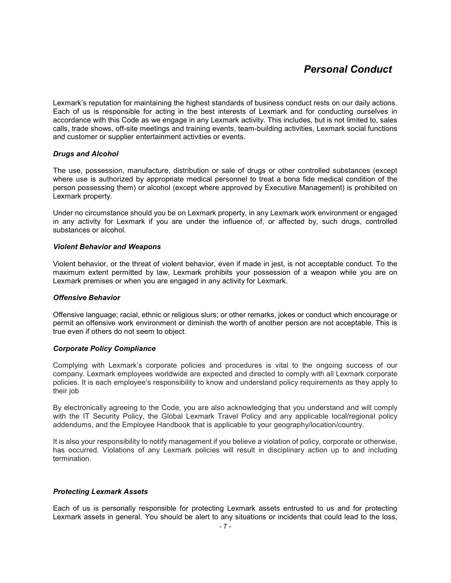## Personal Conduct

 Lexmark's reputation for maintaining the highest standards of business conduct rests on our daily actions. Each of us is responsible for acting in the best interests of Lexmark and for conducting ourselves in accordance with this Code as we engage in any Lexmark activity. This includes, but is not limited to, sales calls, trade shows, off-site meetings and training events, team-building activities, Lexmark social functions and customer or supplier entertainment activities or events.

### Drugs and Alcohol

The use, possession, manufacture, distribution or sale of drugs or other controlled substances (except where use is authorized by appropriate medical personnel to treat a bona fide medical condition of the person possessing them) or alcohol (except where approved by Executive Management) is prohibited on Lexmark property.

Under no circumstance should you be on Lexmark property, in any Lexmark work environment or engaged in any activity for Lexmark if you are under the influence of, or affected by, such drugs, controlled substances or alcohol.

#### Violent Behavior and Weapons

Violent behavior, or the threat of violent behavior, even if made in jest, is not acceptable conduct. To the maximum extent permitted by law, Lexmark prohibits your possession of a weapon while you are on Lexmark premises or when you are engaged in any activity for Lexmark.

#### Offensive Behavior

Offensive language; racial, ethnic or religious slurs; or other remarks, jokes or conduct which encourage or permit an offensive work environment or diminish the worth of another person are not acceptable. This is true even if others do not seem to object.

### Corporate Policy Compliance

Complying with Lexmark's corporate policies and procedures is vital to the ongoing success of our company. Lexmark employees worldwide are expected and directed to comply with all Lexmark corporate policies. It is each employee's responsibility to know and understand policy requirements as they apply to their job

By electronically agreeing to the Code, you are also acknowledging that you understand and will comply with the IT Security Policy, the Global Lexmark Travel Policy and any applicable local/regional policy addendums, and the Employee Handbook that is applicable to your geography/location/country.

It is also your responsibility to notify management if you believe a violation of policy, corporate or otherwise, has occurred. Violations of any Lexmark policies will result in disciplinary action up to and including termination.

### Protecting Lexmark Assets

Each of us is personally responsible for protecting Lexmark assets entrusted to us and for protecting Lexmark assets in general. You should be alert to any situations or incidents that could lead to the loss,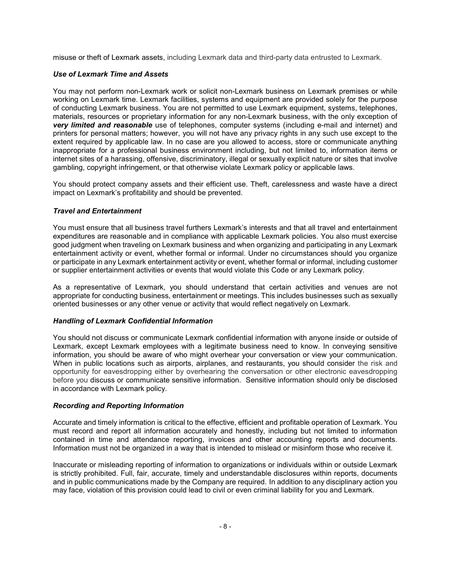misuse or theft of Lexmark assets, including Lexmark data and third-party data entrusted to Lexmark.

## Use of Lexmark Time and Assets

You may not perform non-Lexmark work or solicit non-Lexmark business on Lexmark premises or while working on Lexmark time. Lexmark facilities, systems and equipment are provided solely for the purpose of conducting Lexmark business. You are not permitted to use Lexmark equipment, systems, telephones, materials, resources or proprietary information for any non-Lexmark business, with the only exception of very limited and reasonable use of telephones, computer systems (including e-mail and internet) and printers for personal matters; however, you will not have any privacy rights in any such use except to the extent required by applicable law. In no case are you allowed to access, store or communicate anything inappropriate for a professional business environment including, but not limited to, information items or internet sites of a harassing, offensive, discriminatory, illegal or sexually explicit nature or sites that involve gambling, copyright infringement, or that otherwise violate Lexmark policy or applicable laws.

You should protect company assets and their efficient use. Theft, carelessness and waste have a direct impact on Lexmark's profitability and should be prevented.

## Travel and Entertainment

You must ensure that all business travel furthers Lexmark's interests and that all travel and entertainment expenditures are reasonable and in compliance with applicable Lexmark policies. You also must exercise good judgment when traveling on Lexmark business and when organizing and participating in any Lexmark entertainment activity or event, whether formal or informal. Under no circumstances should you organize or participate in any Lexmark entertainment activity or event, whether formal or informal, including customer or supplier entertainment activities or events that would violate this Code or any Lexmark policy.

As a representative of Lexmark, you should understand that certain activities and venues are not appropriate for conducting business, entertainment or meetings. This includes businesses such as sexually oriented businesses or any other venue or activity that would reflect negatively on Lexmark.

### Handling of Lexmark Confidential Information

You should not discuss or communicate Lexmark confidential information with anyone inside or outside of Lexmark, except Lexmark employees with a legitimate business need to know. In conveying sensitive information, you should be aware of who might overhear your conversation or view your communication. When in public locations such as airports, airplanes, and restaurants, you should consider the risk and opportunity for eavesdropping either by overhearing the conversation or other electronic eavesdropping before you discuss or communicate sensitive information. Sensitive information should only be disclosed in accordance with Lexmark policy.

## Recording and Reporting Information

Accurate and timely information is critical to the effective, efficient and profitable operation of Lexmark. You must record and report all information accurately and honestly, including but not limited to information contained in time and attendance reporting, invoices and other accounting reports and documents. Information must not be organized in a way that is intended to mislead or misinform those who receive it.

Inaccurate or misleading reporting of information to organizations or individuals within or outside Lexmark is strictly prohibited. Full, fair, accurate, timely and understandable disclosures within reports, documents and in public communications made by the Company are required. In addition to any disciplinary action you may face, violation of this provision could lead to civil or even criminal liability for you and Lexmark.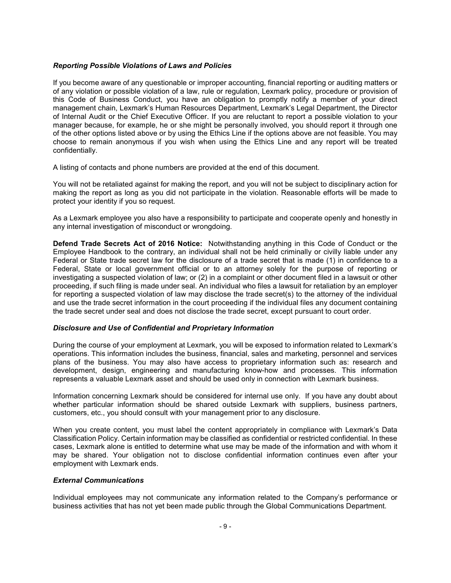### Reporting Possible Violations of Laws and Policies

If you become aware of any questionable or improper accounting, financial reporting or auditing matters or of any violation or possible violation of a law, rule or regulation, Lexmark policy, procedure or provision of this Code of Business Conduct, you have an obligation to promptly notify a member of your direct management chain, Lexmark's Human Resources Department, Lexmark's Legal Department, the Director of Internal Audit or the Chief Executive Officer. If you are reluctant to report a possible violation to your manager because, for example, he or she might be personally involved, you should report it through one of the other options listed above or by using the Ethics Line if the options above are not feasible. You may choose to remain anonymous if you wish when using the Ethics Line and any report will be treated confidentially.

A listing of contacts and phone numbers are provided at the end of this document.

You will not be retaliated against for making the report, and you will not be subject to disciplinary action for making the report as long as you did not participate in the violation. Reasonable efforts will be made to protect your identity if you so request.

As a Lexmark employee you also have a responsibility to participate and cooperate openly and honestly in any internal investigation of misconduct or wrongdoing.

Defend Trade Secrets Act of 2016 Notice: Notwithstanding anything in this Code of Conduct or the Employee Handbook to the contrary, an individual shall not be held criminally or civilly liable under any Federal or State trade secret law for the disclosure of a trade secret that is made (1) in confidence to a Federal, State or local government official or to an attorney solely for the purpose of reporting or investigating a suspected violation of law; or (2) in a complaint or other document filed in a lawsuit or other proceeding, if such filing is made under seal. An individual who files a lawsuit for retaliation by an employer for reporting a suspected violation of law may disclose the trade secret(s) to the attorney of the individual and use the trade secret information in the court proceeding if the individual files any document containing the trade secret under seal and does not disclose the trade secret, except pursuant to court order.

### Disclosure and Use of Confidential and Proprietary Information

During the course of your employment at Lexmark, you will be exposed to information related to Lexmark's operations. This information includes the business, financial, sales and marketing, personnel and services plans of the business. You may also have access to proprietary information such as: research and development, design, engineering and manufacturing know-how and processes. This information represents a valuable Lexmark asset and should be used only in connection with Lexmark business.

Information concerning Lexmark should be considered for internal use only. If you have any doubt about whether particular information should be shared outside Lexmark with suppliers, business partners, customers, etc., you should consult with your management prior to any disclosure.

When you create content, you must label the content appropriately in compliance with Lexmark's Data Classification Policy. Certain information may be classified as confidential or restricted confidential. In these cases, Lexmark alone is entitled to determine what use may be made of the information and with whom it may be shared. Your obligation not to disclose confidential information continues even after your employment with Lexmark ends.

### External Communications

Individual employees may not communicate any information related to the Company's performance or business activities that has not yet been made public through the Global Communications Department.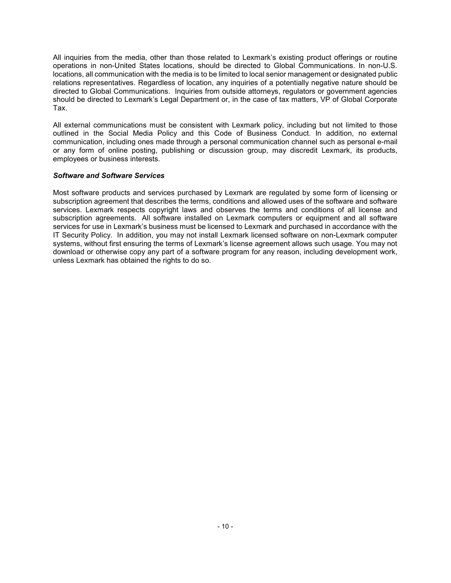All inquiries from the media, other than those related to Lexmark's existing product offerings or routine operations in non-United States locations, should be directed to Global Communications. In non-U.S. locations, all communication with the media is to be limited to local senior management or designated public relations representatives. Regardless of location, any inquiries of a potentially negative nature should be directed to Global Communications. Inquiries from outside attorneys, regulators or government agencies should be directed to Lexmark's Legal Department or, in the case of tax matters, VP of Global Corporate Tax.

All external communications must be consistent with Lexmark policy, including but not limited to those outlined in the Social Media Policy and this Code of Business Conduct. In addition, no external communication, including ones made through a personal communication channel such as personal e-mail or any form of online posting, publishing or discussion group, may discredit Lexmark, its products, employees or business interests.

## Software and Software Services

Most software products and services purchased by Lexmark are regulated by some form of licensing or subscription agreement that describes the terms, conditions and allowed uses of the software and software services. Lexmark respects copyright laws and observes the terms and conditions of all license and subscription agreements. All software installed on Lexmark computers or equipment and all software services for use in Lexmark's business must be licensed to Lexmark and purchased in accordance with the IT Security Policy. In addition, you may not install Lexmark licensed software on non-Lexmark computer systems, without first ensuring the terms of Lexmark's license agreement allows such usage. You may not download or otherwise copy any part of a software program for any reason, including development work, unless Lexmark has obtained the rights to do so.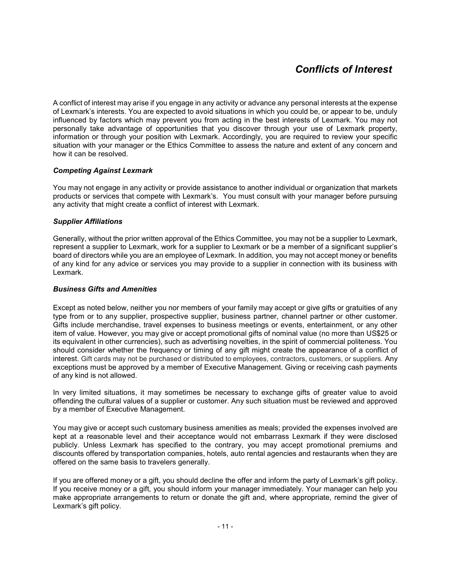## Conflicts of Interest

 A conflict of interest may arise if you engage in any activity or advance any personal interests at the expense of Lexmark's interests. You are expected to avoid situations in which you could be, or appear to be, unduly influenced by factors which may prevent you from acting in the best interests of Lexmark. You may not personally take advantage of opportunities that you discover through your use of Lexmark property, information or through your position with Lexmark. Accordingly, you are required to review your specific situation with your manager or the Ethics Committee to assess the nature and extent of any concern and how it can be resolved.

## Competing Against Lexmark

You may not engage in any activity or provide assistance to another individual or organization that markets products or services that compete with Lexmark's. You must consult with your manager before pursuing any activity that might create a conflict of interest with Lexmark.

### Supplier Affiliations

Generally, without the prior written approval of the Ethics Committee, you may not be a supplier to Lexmark, represent a supplier to Lexmark, work for a supplier to Lexmark or be a member of a significant supplier's board of directors while you are an employee of Lexmark. In addition, you may not accept money or benefits of any kind for any advice or services you may provide to a supplier in connection with its business with Lexmark.

## Business Gifts and Amenities

Except as noted below, neither you nor members of your family may accept or give gifts or gratuities of any type from or to any supplier, prospective supplier, business partner, channel partner or other customer. Gifts include merchandise, travel expenses to business meetings or events, entertainment, or any other item of value. However, you may give or accept promotional gifts of nominal value (no more than US\$25 or its equivalent in other currencies), such as advertising novelties, in the spirit of commercial politeness. You should consider whether the frequency or timing of any gift might create the appearance of a conflict of interest. Gift cards may not be purchased or distributed to employees, contractors, customers, or suppliers. Any exceptions must be approved by a member of Executive Management. Giving or receiving cash payments of any kind is not allowed.

In very limited situations, it may sometimes be necessary to exchange gifts of greater value to avoid offending the cultural values of a supplier or customer. Any such situation must be reviewed and approved by a member of Executive Management.

You may give or accept such customary business amenities as meals; provided the expenses involved are kept at a reasonable level and their acceptance would not embarrass Lexmark if they were disclosed publicly. Unless Lexmark has specified to the contrary, you may accept promotional premiums and discounts offered by transportation companies, hotels, auto rental agencies and restaurants when they are offered on the same basis to travelers generally.

If you are offered money or a gift, you should decline the offer and inform the party of Lexmark's gift policy. If you receive money or a gift, you should inform your manager immediately. Your manager can help you make appropriate arrangements to return or donate the gift and, where appropriate, remind the giver of Lexmark's gift policy.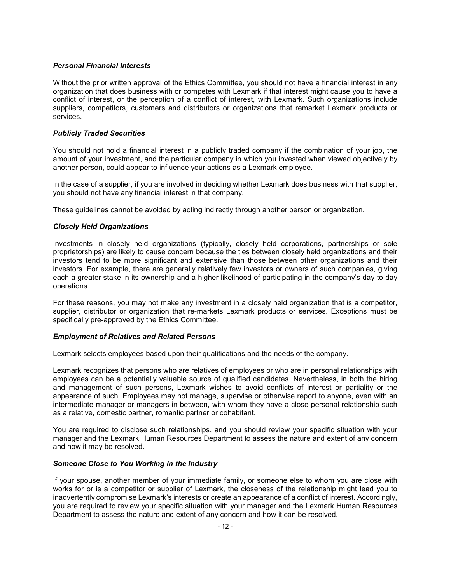### Personal Financial Interests

Without the prior written approval of the Ethics Committee, you should not have a financial interest in any organization that does business with or competes with Lexmark if that interest might cause you to have a conflict of interest, or the perception of a conflict of interest, with Lexmark. Such organizations include suppliers, competitors, customers and distributors or organizations that remarket Lexmark products or services.

### Publicly Traded Securities

You should not hold a financial interest in a publicly traded company if the combination of your job, the amount of your investment, and the particular company in which you invested when viewed objectively by another person, could appear to influence your actions as a Lexmark employee.

In the case of a supplier, if you are involved in deciding whether Lexmark does business with that supplier, you should not have any financial interest in that company.

These guidelines cannot be avoided by acting indirectly through another person or organization.

## Closely Held Organizations

Investments in closely held organizations (typically, closely held corporations, partnerships or sole proprietorships) are likely to cause concern because the ties between closely held organizations and their investors tend to be more significant and extensive than those between other organizations and their investors. For example, there are generally relatively few investors or owners of such companies, giving each a greater stake in its ownership and a higher likelihood of participating in the company's day-to-day operations.

For these reasons, you may not make any investment in a closely held organization that is a competitor, supplier, distributor or organization that re-markets Lexmark products or services. Exceptions must be specifically pre-approved by the Ethics Committee.

### Employment of Relatives and Related Persons

Lexmark selects employees based upon their qualifications and the needs of the company.

Lexmark recognizes that persons who are relatives of employees or who are in personal relationships with employees can be a potentially valuable source of qualified candidates. Nevertheless, in both the hiring and management of such persons, Lexmark wishes to avoid conflicts of interest or partiality or the appearance of such. Employees may not manage, supervise or otherwise report to anyone, even with an intermediate manager or managers in between, with whom they have a close personal relationship such as a relative, domestic partner, romantic partner or cohabitant.

You are required to disclose such relationships, and you should review your specific situation with your manager and the Lexmark Human Resources Department to assess the nature and extent of any concern and how it may be resolved.

### Someone Close to You Working in the Industry

If your spouse, another member of your immediate family, or someone else to whom you are close with works for or is a competitor or supplier of Lexmark, the closeness of the relationship might lead you to inadvertently compromise Lexmark's interests or create an appearance of a conflict of interest. Accordingly, you are required to review your specific situation with your manager and the Lexmark Human Resources Department to assess the nature and extent of any concern and how it can be resolved.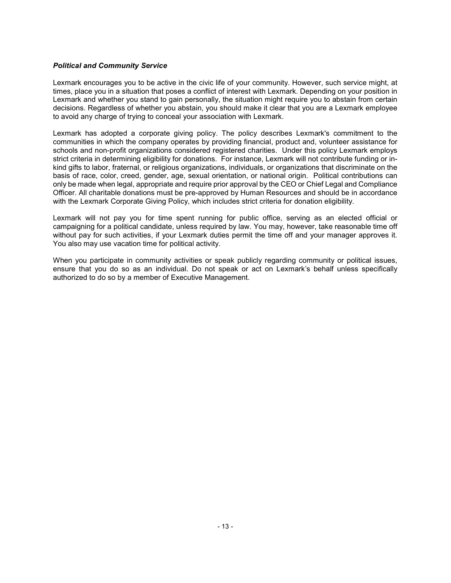### Political and Community Service

Lexmark encourages you to be active in the civic life of your community. However, such service might, at times, place you in a situation that poses a conflict of interest with Lexmark. Depending on your position in Lexmark and whether you stand to gain personally, the situation might require you to abstain from certain decisions. Regardless of whether you abstain, you should make it clear that you are a Lexmark employee to avoid any charge of trying to conceal your association with Lexmark.

Lexmark has adopted a corporate giving policy. The policy describes Lexmark's commitment to the communities in which the company operates by providing financial, product and, volunteer assistance for schools and non-profit organizations considered registered charities. Under this policy Lexmark employs strict criteria in determining eligibility for donations. For instance, Lexmark will not contribute funding or inkind gifts to labor, fraternal, or religious organizations, individuals, or organizations that discriminate on the basis of race, color, creed, gender, age, sexual orientation, or national origin. Political contributions can only be made when legal, appropriate and require prior approval by the CEO or Chief Legal and Compliance Officer. All charitable donations must be pre-approved by Human Resources and should be in accordance with the Lexmark Corporate Giving Policy, which includes strict criteria for donation eligibility.

Lexmark will not pay you for time spent running for public office, serving as an elected official or campaigning for a political candidate, unless required by law. You may, however, take reasonable time off without pay for such activities, if your Lexmark duties permit the time off and your manager approves it. You also may use vacation time for political activity.

When you participate in community activities or speak publicly regarding community or political issues, ensure that you do so as an individual. Do not speak or act on Lexmark's behalf unless specifically authorized to do so by a member of Executive Management.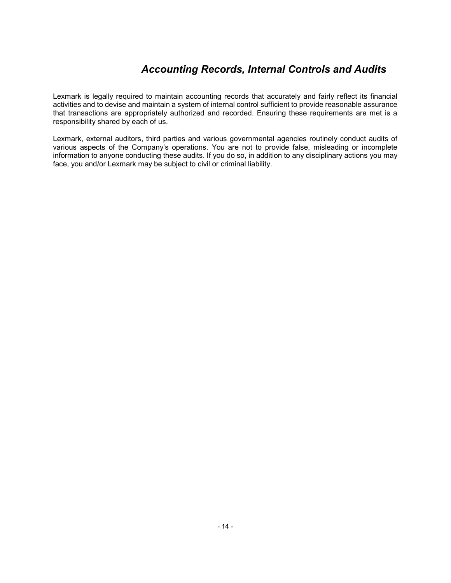# Accounting Records, Internal Controls and Audits

Lexmark is legally required to maintain accounting records that accurately and fairly reflect its financial activities and to devise and maintain a system of internal control sufficient to provide reasonable assurance that transactions are appropriately authorized and recorded. Ensuring these requirements are met is a responsibility shared by each of us.

Lexmark, external auditors, third parties and various governmental agencies routinely conduct audits of various aspects of the Company's operations. You are not to provide false, misleading or incomplete information to anyone conducting these audits. If you do so, in addition to any disciplinary actions you may face, you and/or Lexmark may be subject to civil or criminal liability.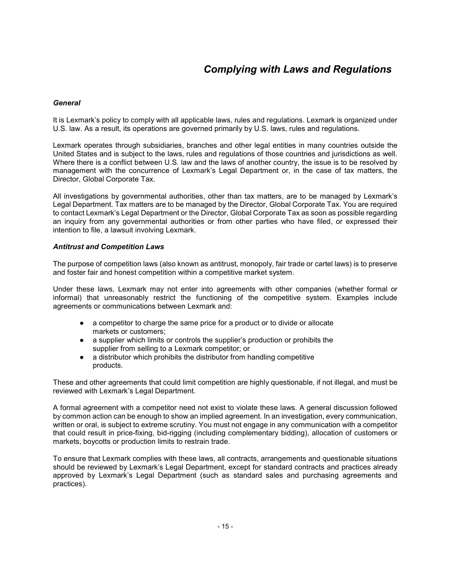# Complying with Laws and Regulations

## **General**

 It is Lexmark's policy to comply with all applicable laws, rules and regulations. Lexmark is organized under U.S. law. As a result, its operations are governed primarily by U.S. laws, rules and regulations.

 Lexmark operates through subsidiaries, branches and other legal entities in many countries outside the United States and is subject to the laws, rules and regulations of those countries and jurisdictions as well. Where there is a conflict between U.S. law and the laws of another country, the issue is to be resolved by management with the concurrence of Lexmark's Legal Department or, in the case of tax matters, the Director, Global Corporate Tax.

 All investigations by governmental authorities, other than tax matters, are to be managed by Lexmark's Legal Department. Tax matters are to be managed by the Director, Global Corporate Tax. You are required to contact Lexmark's Legal Department or the Director, Global Corporate Tax as soon as possible regarding an inquiry from any governmental authorities or from other parties who have filed, or expressed their intention to file, a lawsuit involving Lexmark.

### Antitrust and Competition Laws

The purpose of competition laws (also known as antitrust, monopoly, fair trade or cartel laws) is to preserve and foster fair and honest competition within a competitive market system.

 Under these laws, Lexmark may not enter into agreements with other companies (whether formal or informal) that unreasonably restrict the functioning of the competitive system. Examples include agreements or communications between Lexmark and:

- a competitor to charge the same price for a product or to divide or allocate markets or customers;
- a supplier which limits or controls the supplier's production or prohibits the supplier from selling to a Lexmark competitor; or
- a distributor which prohibits the distributor from handling competitive products.

 These and other agreements that could limit competition are highly questionable, if not illegal, and must be reviewed with Lexmark's Legal Department.

A formal agreement with a competitor need not exist to violate these laws. A general discussion followed by common action can be enough to show an implied agreement. In an investigation, every communication, written or oral, is subject to extreme scrutiny. You must not engage in any communication with a competitor that could result in price-fixing, bid-rigging (including complementary bidding), allocation of customers or markets, boycotts or production limits to restrain trade.

 To ensure that Lexmark complies with these laws, all contracts, arrangements and questionable situations should be reviewed by Lexmark's Legal Department, except for standard contracts and practices already approved by Lexmark's Legal Department (such as standard sales and purchasing agreements and practices).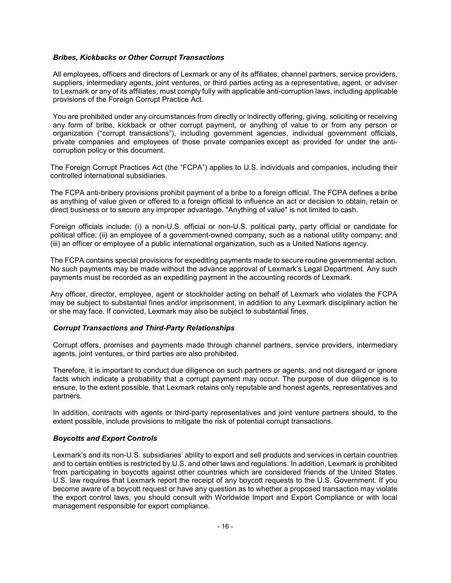## Bribes, Kickbacks or Other Corrupt Transactions

All employees, officers and directors of Lexmark or any of its affiliates, channel partners, service providers, suppliers, intermediary agents, joint ventures, or third parties acting as a representative, agent, or adviser to Lexmark or any of its affiliates, must comply fully with applicable anti-corruption laws, including applicable provisions of the Foreign Corrupt Practice Act.

You are prohibited under any circumstances from directly or indirectly offering, giving, soliciting or receiving any form of bribe, kickback or other corrupt payment, or anything of value to or from any person or organization ("corrupt transactions"), including government agencies, individual government officials, private companies and employees of those private companies except as provided for under the anticorruption policy or this document.

 The Foreign Corrupt Practices Act (the "FCPA") applies to U.S. individuals and companies, including their controlled international subsidiaries.

 The FCPA anti-bribery provisions prohibit payment of a bribe to a foreign official. The FCPA defines a bribe as anything of value given or offered to a foreign official to influence an act or decision to obtain, retain or direct business or to secure any improper advantage. "Anything of value" is not limited to cash.

 Foreign officials include: (i) a non-U.S. official or non-U.S. political party, party official or candidate for political office; (ii) an employee of a government-owned company, such as a national utility company; and (iii) an officer or employee of a public international organization, such as a United Nations agency.

 The FCPA contains special provisions for expediting payments made to secure routine governmental action. No such payments may be made without the advance approval of Lexmark's Legal Department. Any such payments must be recorded as an expediting payment in the accounting records of Lexmark.

 Any officer, director, employee, agent or stockholder acting on behalf of Lexmark who violates the FCPA may be subject to substantial fines and/or imprisonment, in addition to any Lexmark disciplinary action he or she may face. If convicted, Lexmark may also be subject to substantial fines.

### Corrupt Transactions and Third-Party Relationships

Corrupt offers, promises and payments made through channel partners, service providers, intermediary agents, joint ventures, or third parties are also prohibited.

Therefore, it is important to conduct due diligence on such partners or agents, and not disregard or ignore facts which indicate a probability that a corrupt payment may occur. The purpose of due diligence is to ensure, to the extent possible, that Lexmark retains only reputable and honest agents, representatives and partners.

In addition, contracts with agents or third-party representatives and joint venture partners should, to the extent possible, include provisions to mitigate the risk of potential corrupt transactions.

### Boycotts and Export Controls

Lexmark's and its non-U.S. subsidiaries' ability to export and sell products and services in certain countries and to certain entities is restricted by U.S. and other laws and regulations. In addition, Lexmark is prohibited from participating in boycotts against other countries which are considered friends of the United States. U.S. law requires that Lexmark report the receipt of any boycott requests to the U.S. Government. If you become aware of a boycott request or have any question as to whether a proposed transaction may violate the export control laws, you should consult with Worldwide Import and Export Compliance or with local management responsible for export compliance.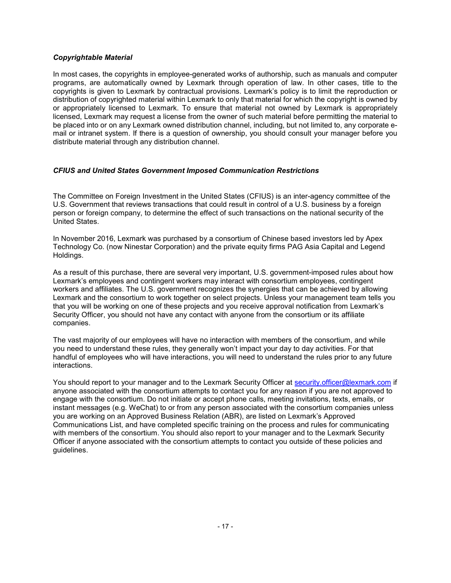## Copyrightable Material

In most cases, the copyrights in employee-generated works of authorship, such as manuals and computer programs, are automatically owned by Lexmark through operation of law. In other cases, title to the copyrights is given to Lexmark by contractual provisions. Lexmark's policy is to limit the reproduction or distribution of copyrighted material within Lexmark to only that material for which the copyright is owned by or appropriately licensed to Lexmark. To ensure that material not owned by Lexmark is appropriately licensed, Lexmark may request a license from the owner of such material before permitting the material to be placed into or on any Lexmark owned distribution channel, including, but not limited to, any corporate email or intranet system. If there is a question of ownership, you should consult your manager before you distribute material through any distribution channel.

## CFIUS and United States Government Imposed Communication Restrictions

The Committee on Foreign Investment in the United States (CFIUS) is an inter-agency committee of the U.S. Government that reviews transactions that could result in control of a U.S. business by a foreign person or foreign company, to determine the effect of such transactions on the national security of the United States.

In November 2016, Lexmark was purchased by a consortium of Chinese based investors led by Apex Technology Co. (now Ninestar Corporation) and the private equity firms PAG Asia Capital and Legend Holdings.

As a result of this purchase, there are several very important, U.S. government-imposed rules about how Lexmark's employees and contingent workers may interact with consortium employees, contingent workers and affiliates. The U.S. government recognizes the synergies that can be achieved by allowing Lexmark and the consortium to work together on select projects. Unless your management team tells you that you will be working on one of these projects and you receive approval notification from Lexmark's Security Officer, you should not have any contact with anyone from the consortium or its affiliate companies.

The vast majority of our employees will have no interaction with members of the consortium, and while you need to understand these rules, they generally won't impact your day to day activities. For that handful of employees who will have interactions, you will need to understand the rules prior to any future interactions.

You should report to your manager and to the Lexmark Security Officer at security.officer@lexmark.com if anyone associated with the consortium attempts to contact you for any reason if you are not approved to engage with the consortium. Do not initiate or accept phone calls, meeting invitations, texts, emails, or instant messages (e.g. WeChat) to or from any person associated with the consortium companies unless you are working on an Approved Business Relation (ABR), are listed on Lexmark's Approved Communications List, and have completed specific training on the process and rules for communicating with members of the consortium. You should also report to your manager and to the Lexmark Security Officer if anyone associated with the consortium attempts to contact you outside of these policies and guidelines.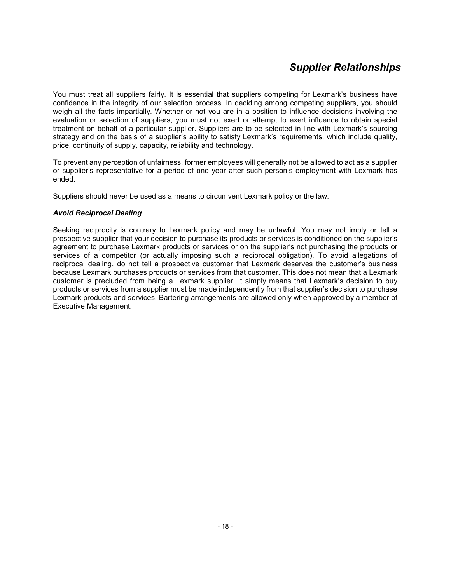# Supplier Relationships

You must treat all suppliers fairly. It is essential that suppliers competing for Lexmark's business have confidence in the integrity of our selection process. In deciding among competing suppliers, you should weigh all the facts impartially. Whether or not you are in a position to influence decisions involving the evaluation or selection of suppliers, you must not exert or attempt to exert influence to obtain special treatment on behalf of a particular supplier. Suppliers are to be selected in line with Lexmark's sourcing strategy and on the basis of a supplier's ability to satisfy Lexmark's requirements, which include quality, price, continuity of supply, capacity, reliability and technology.

To prevent any perception of unfairness, former employees will generally not be allowed to act as a supplier or supplier's representative for a period of one year after such person's employment with Lexmark has ended.

Suppliers should never be used as a means to circumvent Lexmark policy or the law.

## Avoid Reciprocal Dealing

Seeking reciprocity is contrary to Lexmark policy and may be unlawful. You may not imply or tell a prospective supplier that your decision to purchase its products or services is conditioned on the supplier's agreement to purchase Lexmark products or services or on the supplier's not purchasing the products or services of a competitor (or actually imposing such a reciprocal obligation). To avoid allegations of reciprocal dealing, do not tell a prospective customer that Lexmark deserves the customer's business because Lexmark purchases products or services from that customer. This does not mean that a Lexmark customer is precluded from being a Lexmark supplier. It simply means that Lexmark's decision to buy products or services from a supplier must be made independently from that supplier's decision to purchase Lexmark products and services. Bartering arrangements are allowed only when approved by a member of Executive Management.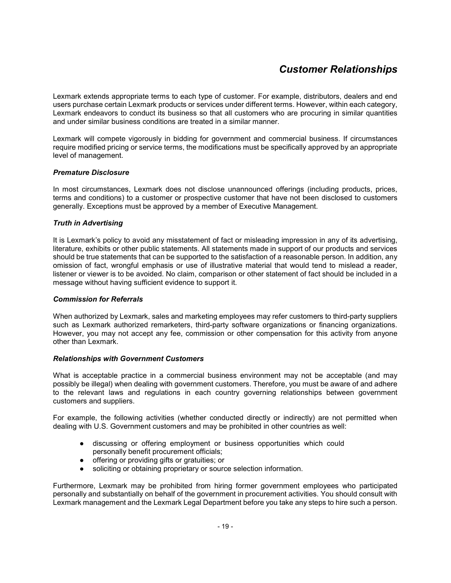# Customer Relationships

Lexmark extends appropriate terms to each type of customer. For example, distributors, dealers and end users purchase certain Lexmark products or services under different terms. However, within each category, Lexmark endeavors to conduct its business so that all customers who are procuring in similar quantities and under similar business conditions are treated in a similar manner.

Lexmark will compete vigorously in bidding for government and commercial business. If circumstances require modified pricing or service terms, the modifications must be specifically approved by an appropriate level of management.

## Premature Disclosure

In most circumstances, Lexmark does not disclose unannounced offerings (including products, prices, terms and conditions) to a customer or prospective customer that have not been disclosed to customers generally. Exceptions must be approved by a member of Executive Management.

## Truth in Advertising

It is Lexmark's policy to avoid any misstatement of fact or misleading impression in any of its advertising, literature, exhibits or other public statements. All statements made in support of our products and services should be true statements that can be supported to the satisfaction of a reasonable person. In addition, any omission of fact, wrongful emphasis or use of illustrative material that would tend to mislead a reader, listener or viewer is to be avoided. No claim, comparison or other statement of fact should be included in a message without having sufficient evidence to support it.

### Commission for Referrals

When authorized by Lexmark, sales and marketing employees may refer customers to third-party suppliers such as Lexmark authorized remarketers, third-party software organizations or financing organizations. However, you may not accept any fee, commission or other compensation for this activity from anyone other than Lexmark.

### Relationships with Government Customers

What is acceptable practice in a commercial business environment may not be acceptable (and may possibly be illegal) when dealing with government customers. Therefore, you must be aware of and adhere to the relevant laws and regulations in each country governing relationships between government customers and suppliers.

For example, the following activities (whether conducted directly or indirectly) are not permitted when dealing with U.S. Government customers and may be prohibited in other countries as well:

- discussing or offering employment or business opportunities which could personally benefit procurement officials;
- offering or providing gifts or gratuities; or
- soliciting or obtaining proprietary or source selection information.

Furthermore, Lexmark may be prohibited from hiring former government employees who participated personally and substantially on behalf of the government in procurement activities. You should consult with Lexmark management and the Lexmark Legal Department before you take any steps to hire such a person.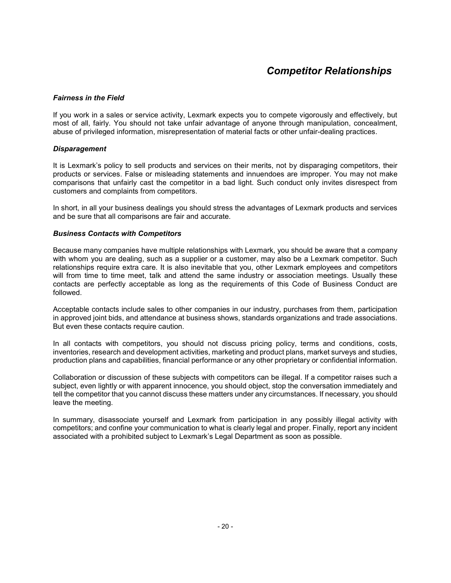## Competitor Relationships

## Fairness in the Field

If you work in a sales or service activity, Lexmark expects you to compete vigorously and effectively, but most of all, fairly. You should not take unfair advantage of anyone through manipulation, concealment, abuse of privileged information, misrepresentation of material facts or other unfair-dealing practices.

## **Disparagement**

It is Lexmark's policy to sell products and services on their merits, not by disparaging competitors, their products or services. False or misleading statements and innuendoes are improper. You may not make comparisons that unfairly cast the competitor in a bad light. Such conduct only invites disrespect from customers and complaints from competitors.

In short, in all your business dealings you should stress the advantages of Lexmark products and services and be sure that all comparisons are fair and accurate.

## Business Contacts with Competitors

Because many companies have multiple relationships with Lexmark, you should be aware that a company with whom you are dealing, such as a supplier or a customer, may also be a Lexmark competitor. Such relationships require extra care. It is also inevitable that you, other Lexmark employees and competitors will from time to time meet, talk and attend the same industry or association meetings. Usually these contacts are perfectly acceptable as long as the requirements of this Code of Business Conduct are followed.

Acceptable contacts include sales to other companies in our industry, purchases from them, participation in approved joint bids, and attendance at business shows, standards organizations and trade associations. But even these contacts require caution.

In all contacts with competitors, you should not discuss pricing policy, terms and conditions, costs, inventories, research and development activities, marketing and product plans, market surveys and studies, production plans and capabilities, financial performance or any other proprietary or confidential information.

Collaboration or discussion of these subjects with competitors can be illegal. If a competitor raises such a subject, even lightly or with apparent innocence, you should object, stop the conversation immediately and tell the competitor that you cannot discuss these matters under any circumstances. If necessary, you should leave the meeting.

In summary, disassociate yourself and Lexmark from participation in any possibly illegal activity with competitors; and confine your communication to what is clearly legal and proper. Finally, report any incident associated with a prohibited subject to Lexmark's Legal Department as soon as possible.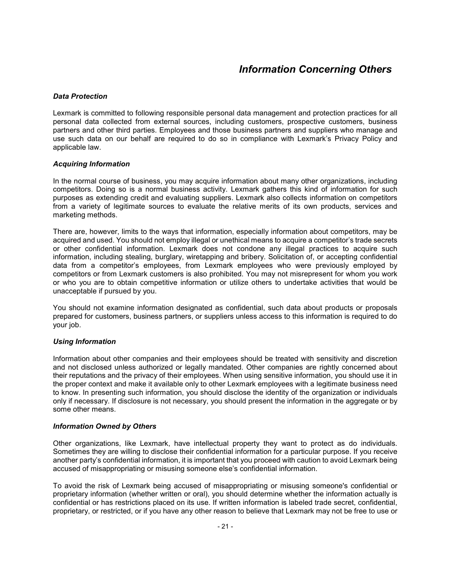## Information Concerning Others

## Data Protection

Lexmark is committed to following responsible personal data management and protection practices for all personal data collected from external sources, including customers, prospective customers, business partners and other third parties. Employees and those business partners and suppliers who manage and use such data on our behalf are required to do so in compliance with Lexmark's Privacy Policy and applicable law.

### Acquiring Information

In the normal course of business, you may acquire information about many other organizations, including competitors. Doing so is a normal business activity. Lexmark gathers this kind of information for such purposes as extending credit and evaluating suppliers. Lexmark also collects information on competitors from a variety of legitimate sources to evaluate the relative merits of its own products, services and marketing methods.

There are, however, limits to the ways that information, especially information about competitors, may be acquired and used. You should not employ illegal or unethical means to acquire a competitor's trade secrets or other confidential information. Lexmark does not condone any illegal practices to acquire such information, including stealing, burglary, wiretapping and bribery. Solicitation of, or accepting confidential data from a competitor's employees, from Lexmark employees who were previously employed by competitors or from Lexmark customers is also prohibited. You may not misrepresent for whom you work or who you are to obtain competitive information or utilize others to undertake activities that would be unacceptable if pursued by you.

You should not examine information designated as confidential, such data about products or proposals prepared for customers, business partners, or suppliers unless access to this information is required to do your job.

### Using Information

Information about other companies and their employees should be treated with sensitivity and discretion and not disclosed unless authorized or legally mandated. Other companies are rightly concerned about their reputations and the privacy of their employees. When using sensitive information, you should use it in the proper context and make it available only to other Lexmark employees with a legitimate business need to know. In presenting such information, you should disclose the identity of the organization or individuals only if necessary. If disclosure is not necessary, you should present the information in the aggregate or by some other means.

### Information Owned by Others

Other organizations, like Lexmark, have intellectual property they want to protect as do individuals. Sometimes they are willing to disclose their confidential information for a particular purpose. If you receive another party's confidential information, it is important that you proceed with caution to avoid Lexmark being accused of misappropriating or misusing someone else's confidential information.

To avoid the risk of Lexmark being accused of misappropriating or misusing someone's confidential or proprietary information (whether written or oral), you should determine whether the information actually is confidential or has restrictions placed on its use. If written information is labeled trade secret, confidential, proprietary, or restricted, or if you have any other reason to believe that Lexmark may not be free to use or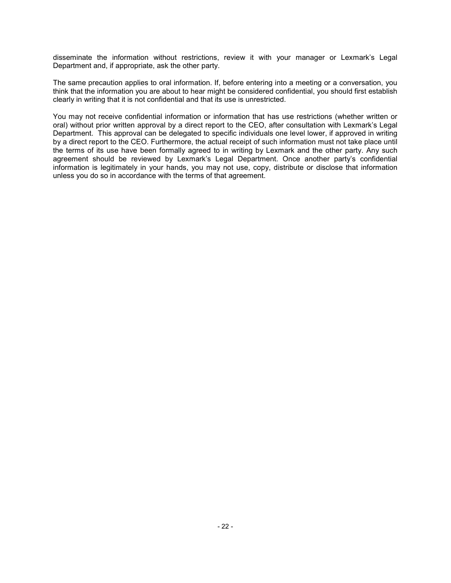disseminate the information without restrictions, review it with your manager or Lexmark's Legal Department and, if appropriate, ask the other party.

The same precaution applies to oral information. If, before entering into a meeting or a conversation, you think that the information you are about to hear might be considered confidential, you should first establish clearly in writing that it is not confidential and that its use is unrestricted.

You may not receive confidential information or information that has use restrictions (whether written or oral) without prior written approval by a direct report to the CEO, after consultation with Lexmark's Legal Department. This approval can be delegated to specific individuals one level lower, if approved in writing by a direct report to the CEO. Furthermore, the actual receipt of such information must not take place until the terms of its use have been formally agreed to in writing by Lexmark and the other party. Any such agreement should be reviewed by Lexmark's Legal Department. Once another party's confidential information is legitimately in your hands, you may not use, copy, distribute or disclose that information unless you do so in accordance with the terms of that agreement.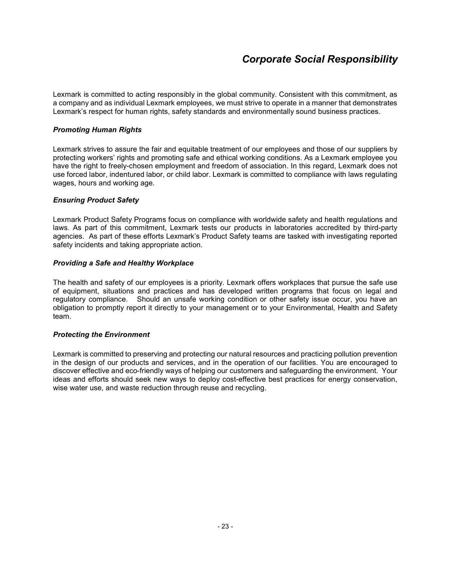## Corporate Social Responsibility

Lexmark is committed to acting responsibly in the global community. Consistent with this commitment, as a company and as individual Lexmark employees, we must strive to operate in a manner that demonstrates Lexmark's respect for human rights, safety standards and environmentally sound business practices.

## Promoting Human Rights

Lexmark strives to assure the fair and equitable treatment of our employees and those of our suppliers by protecting workers' rights and promoting safe and ethical working conditions. As a Lexmark employee you have the right to freely-chosen employment and freedom of association. In this regard, Lexmark does not use forced labor, indentured labor, or child labor. Lexmark is committed to compliance with laws regulating wages, hours and working age.

## Ensuring Product Safety

Lexmark Product Safety Programs focus on compliance with worldwide safety and health regulations and laws. As part of this commitment, Lexmark tests our products in laboratories accredited by third-party agencies. As part of these efforts Lexmark's Product Safety teams are tasked with investigating reported safety incidents and taking appropriate action.

## Providing a Safe and Healthy Workplace

The health and safety of our employees is a priority. Lexmark offers workplaces that pursue the safe use of equipment, situations and practices and has developed written programs that focus on legal and regulatory compliance. Should an unsafe working condition or other safety issue occur, you have an obligation to promptly report it directly to your management or to your Environmental, Health and Safety team.

### Protecting the Environment

Lexmark is committed to preserving and protecting our natural resources and practicing pollution prevention in the design of our products and services, and in the operation of our facilities. You are encouraged to discover effective and eco-friendly ways of helping our customers and safeguarding the environment. Your ideas and efforts should seek new ways to deploy cost-effective best practices for energy conservation, wise water use, and waste reduction through reuse and recycling.